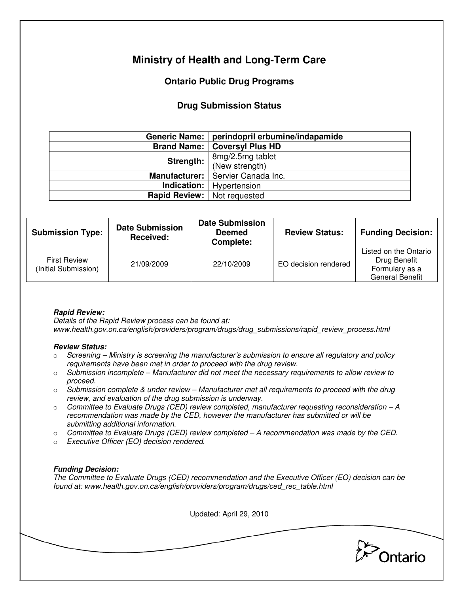# **Ministry of Health and Long-Term Care**

## **Ontario Public Drug Programs**

## **Drug Submission Status**

|                                    | Generic Name:   perindopril erbumine/indapamide |  |
|------------------------------------|-------------------------------------------------|--|
|                                    | <b>Brand Name:   Coversyl Plus HD</b>           |  |
| Strength:                          | 8mg/2.5mg tablet<br>(New strength)              |  |
|                                    |                                                 |  |
|                                    | Manufacturer:   Servier Canada Inc.             |  |
|                                    | <b>Indication:</b>   Hypertension               |  |
| <b>Rapid Review:</b> Not requested |                                                 |  |

| <b>Submission Type:</b>                     | <b>Date Submission</b><br>Received: | <b>Date Submission</b><br><b>Deemed</b><br>Complete: | <b>Review Status:</b> | <b>Funding Decision:</b>                                                          |
|---------------------------------------------|-------------------------------------|------------------------------------------------------|-----------------------|-----------------------------------------------------------------------------------|
| <b>First Review</b><br>(Initial Submission) | 21/09/2009                          | 22/10/2009                                           | EO decision rendered  | Listed on the Ontario<br>Drug Benefit<br>Formulary as a<br><b>General Benefit</b> |

### **Rapid Review:**

Details of the Rapid Review process can be found at: www.health.gov.on.ca/english/providers/program/drugs/drug\_submissions/rapid\_review\_process.html

#### **Review Status:**

- $\circ$  Screening Ministry is screening the manufacturer's submission to ensure all regulatory and policy requirements have been met in order to proceed with the drug review.
- $\circ$  Submission incomplete Manufacturer did not meet the necessary requirements to allow review to proceed.
- $\circ$  Submission complete & under review Manufacturer met all requirements to proceed with the drug review, and evaluation of the drug submission is underway.
- $\circ$  Committee to Evaluate Drugs (CED) review completed, manufacturer requesting reconsideration  $-A$ recommendation was made by the CED, however the manufacturer has submitted or will be submitting additional information.
- $\circ$  Committee to Evaluate Drugs (CED) review completed A recommendation was made by the CED.
- o Executive Officer (EO) decision rendered.

### **Funding Decision:**

The Committee to Evaluate Drugs (CED) recommendation and the Executive Officer (EO) decision can be found at: www.health.gov.on.ca/english/providers/program/drugs/ced\_rec\_table.html

Updated: April 29, 2010

Ontario